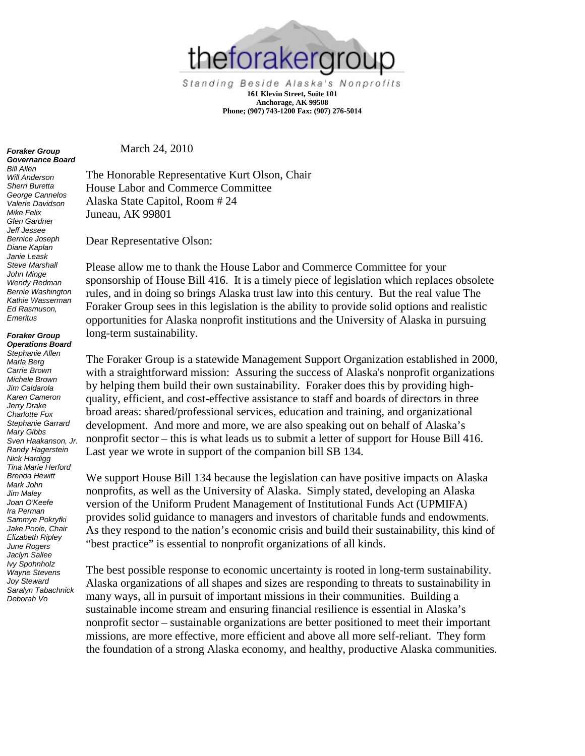

Standing Beside Alaska's Nonprofits **161 Klevin Street, Suite 101 Anchorage, AK 99508 Phone; (907) 743-1200 Fax: (907) 276-5014**

March 24, 2010

The Honorable Representative Kurt Olson, Chair House Labor and Commerce Committee Alaska State Capitol, Room # 24 Juneau, AK 99801

Dear Representative Olson:

Please allow me to thank the House Labor and Commerce Committee for your sponsorship of House Bill 416. It is a timely piece of legislation which replaces obsolete rules, and in doing so brings Alaska trust law into this century. But the real value The Foraker Group sees in this legislation is the ability to provide solid options and realistic opportunities for Alaska nonprofit institutions and the University of Alaska in pursuing long-term sustainability.

The Foraker Group is a statewide Management Support Organization established in 2000, with a straightforward mission: Assuring the success of Alaska's nonprofit organizations by helping them build their own sustainability. Foraker does this by providing highquality, efficient, and cost-effective assistance to staff and boards of directors in three broad areas: shared/professional services, education and training, and organizational development. And more and more, we are also speaking out on behalf of Alaska's nonprofit sector – this is what leads us to submit a letter of support for House Bill 416. Last year we wrote in support of the companion bill SB 134.

We support House Bill 134 because the legislation can have positive impacts on Alaska nonprofits, as well as the University of Alaska. Simply stated, developing an Alaska version of the Uniform Prudent Management of Institutional Funds Act (UPMIFA) provides solid guidance to managers and investors of charitable funds and endowments. As they respond to the nation's economic crisis and build their sustainability, this kind of "best practice" is essential to nonprofit organizations of all kinds.

The best possible response to economic uncertainty is rooted in long-term sustainability. Alaska organizations of all shapes and sizes are responding to threats to sustainability in many ways, all in pursuit of important missions in their communities. Building a sustainable income stream and ensuring financial resilience is essential in Alaska's nonprofit sector – sustainable organizations are better positioned to meet their important missions, are more effective, more efficient and above all more self-reliant. They form the foundation of a strong Alaska economy, and healthy, productive Alaska communities.

## *Foraker Group Governance Board*

*Bill Allen Will Anderson Sherri Buretta George Cannelos Valerie Davidson Mike Felix Glen Gardner Jeff Jessee Bernice Joseph Diane Kaplan Janie Leask Steve Marshall John Minge Wendy Redman Bernie Washington Kathie Wasserman Ed Rasmuson, Emeritus*

## *Foraker Group Operations Board*

*Stephanie Allen Marla Berg Carrie Brown Michele Brown Jim Caldarola Karen Cameron Jerry Drake Charlotte Fox Stephanie Garrard Mary Gibbs Sven Haakanson, Jr. Randy Hagerstein Nick Hardigg Tina Marie Herford Brenda Hewitt Mark John Jim Maley Joan O'Keefe Ira Perman Sammye Pokryfki Jake Poole, Chair Elizabeth Ripley June Rogers Jaclyn Sallee Ivy Spohnholz Wayne Stevens Joy Steward Saralyn Tabachnick Deborah Vo*